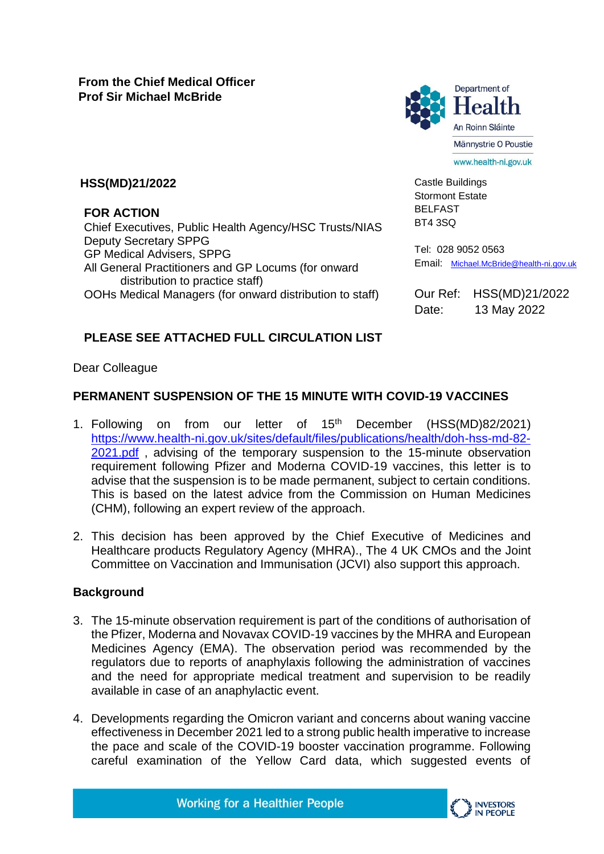

Castle Buildings Stormont Estate BELFAST BT4 3SQ

#### **HSS(MD)21/2022**

**FOR ACTION**

Chief Executives, Public Health Agency/HSC Trusts/NIAS Deputy Secretary SPPG GP Medical Advisers, SPPG All General Practitioners and GP Locums (for onward distribution to practice staff) OOHs Medical Managers (for onward distribution to staff)

Tel: 028 9052 0563 Email: [Michael.McBride@health-ni.gov.uk](mailto:Michael.McBride@health-ni.gov.uk)

Our Ref: HSS(MD)21/2022 Date: 13 May 2022

# **PLEASE SEE ATTACHED FULL CIRCULATION LIST**

Dear Colleague

# **PERMANENT SUSPENSION OF THE 15 MINUTE WITH COVID-19 VACCINES**

- 1. Following on from our letter of 15<sup>th</sup> December (HSS(MD)82/2021) [https://www.health-ni.gov.uk/sites/default/files/publications/health/doh-hss-md-82-](https://www.health-ni.gov.uk/sites/default/files/publications/health/doh-hss-md-82-2021.pdf) [2021.pdf](https://www.health-ni.gov.uk/sites/default/files/publications/health/doh-hss-md-82-2021.pdf), advising of the temporary suspension to the 15-minute observation requirement following Pfizer and Moderna COVID-19 vaccines, this letter is to advise that the suspension is to be made permanent, subject to certain conditions. This is based on the latest advice from the Commission on Human Medicines (CHM), following an expert review of the approach.
- 2. This decision has been approved by the Chief Executive of Medicines and Healthcare products Regulatory Agency (MHRA)., The 4 UK CMOs and the Joint Committee on Vaccination and Immunisation (JCVI) also support this approach.

## **Background**

- 3. The 15-minute observation requirement is part of the conditions of authorisation of the Pfizer, Moderna and Novavax COVID-19 vaccines by the MHRA and European Medicines Agency (EMA). The observation period was recommended by the regulators due to reports of anaphylaxis following the administration of vaccines and the need for appropriate medical treatment and supervision to be readily available in case of an anaphylactic event.
- 4. Developments regarding the Omicron variant and concerns about waning vaccine effectiveness in December 2021 led to a strong public health imperative to increase the pace and scale of the COVID-19 booster vaccination programme. Following careful examination of the Yellow Card data, which suggested events of

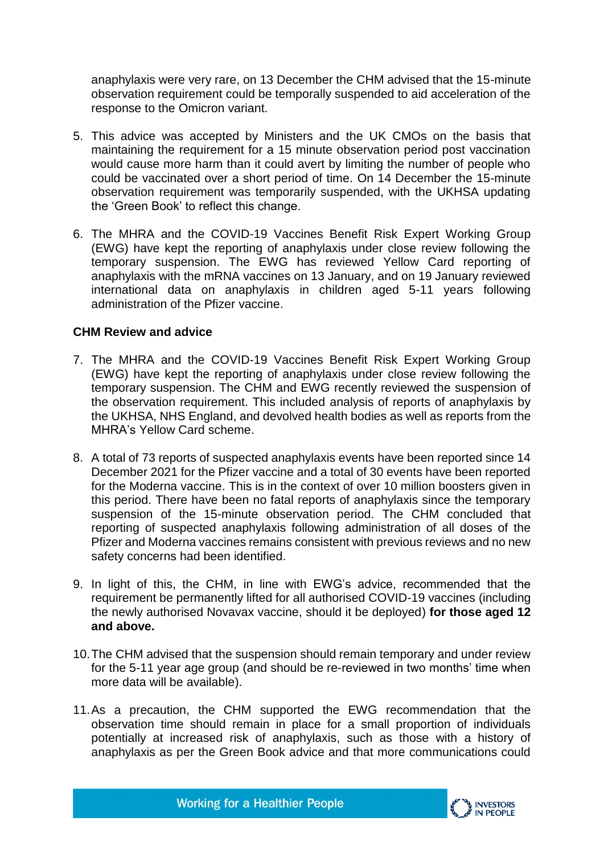anaphylaxis were very rare, on 13 December the CHM advised that the 15-minute observation requirement could be temporally suspended to aid acceleration of the response to the Omicron variant.

- 5. This advice was accepted by Ministers and the UK CMOs on the basis that maintaining the requirement for a 15 minute observation period post vaccination would cause more harm than it could avert by limiting the number of people who could be vaccinated over a short period of time. On 14 December the 15-minute observation requirement was temporarily suspended, with the UKHSA updating the 'Green Book' to reflect this change.
- 6. The MHRA and the COVID-19 Vaccines Benefit Risk Expert Working Group (EWG) have kept the reporting of anaphylaxis under close review following the temporary suspension. The EWG has reviewed Yellow Card reporting of anaphylaxis with the mRNA vaccines on 13 January, and on 19 January reviewed international data on anaphylaxis in children aged 5-11 years following administration of the Pfizer vaccine.

#### **CHM Review and advice**

- 7. The MHRA and the COVID-19 Vaccines Benefit Risk Expert Working Group (EWG) have kept the reporting of anaphylaxis under close review following the temporary suspension. The CHM and EWG recently reviewed the suspension of the observation requirement. This included analysis of reports of anaphylaxis by the UKHSA, NHS England, and devolved health bodies as well as reports from the MHRA's Yellow Card scheme.
- 8. A total of 73 reports of suspected anaphylaxis events have been reported since 14 December 2021 for the Pfizer vaccine and a total of 30 events have been reported for the Moderna vaccine. This is in the context of over 10 million boosters given in this period. There have been no fatal reports of anaphylaxis since the temporary suspension of the 15-minute observation period. The CHM concluded that reporting of suspected anaphylaxis following administration of all doses of the Pfizer and Moderna vaccines remains consistent with previous reviews and no new safety concerns had been identified.
- 9. In light of this, the CHM, in line with EWG's advice, recommended that the requirement be permanently lifted for all authorised COVID-19 vaccines (including the newly authorised Novavax vaccine, should it be deployed) **for those aged 12 and above.**
- 10.The CHM advised that the suspension should remain temporary and under review for the 5-11 year age group (and should be re-reviewed in two months' time when more data will be available).
- 11.As a precaution, the CHM supported the EWG recommendation that the observation time should remain in place for a small proportion of individuals potentially at increased risk of anaphylaxis, such as those with a history of anaphylaxis as per the Green Book advice and that more communications could

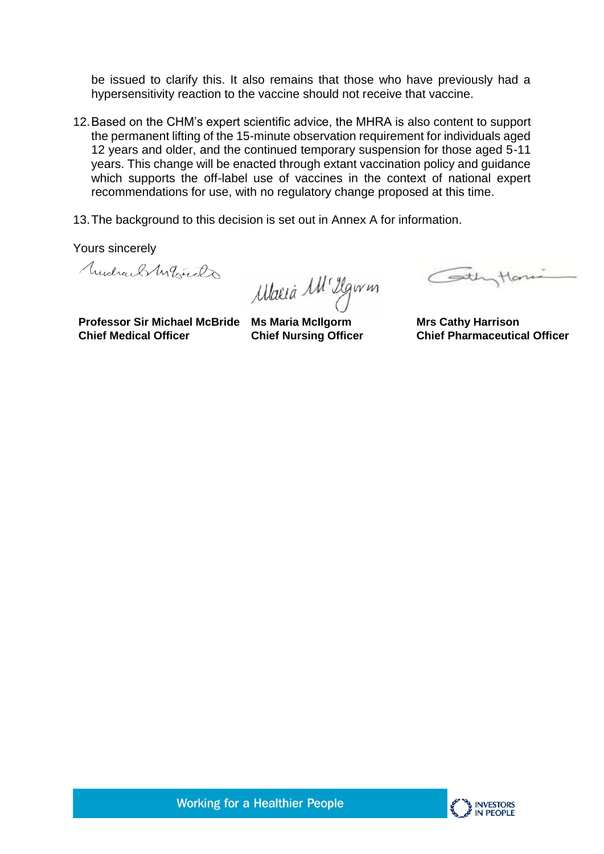be issued to clarify this. It also remains that those who have previously had a hypersensitivity reaction to the vaccine should not receive that vaccine.

- 12.Based on the CHM's expert scientific advice, the MHRA is also content to support the permanent lifting of the 15-minute observation requirement for individuals aged 12 years and older, and the continued temporary suspension for those aged 5-11 years. This change will be enacted through extant vaccination policy and guidance which supports the off-label use of vaccines in the context of national expert recommendations for use, with no regulatory change proposed at this time.
- 13.The background to this decision is set out in Annex A for information.

Yours sincerely

Mudrael My Line

Maria M<sup>1</sup> Ilgwm

Cothyton

**Professor Sir Michael McBride Ms Maria McIlgorm Chief Medical Officer**

**Chief Nursing Officer** 

**Mrs Cathy Harrison Chief Pharmaceutical Officer**

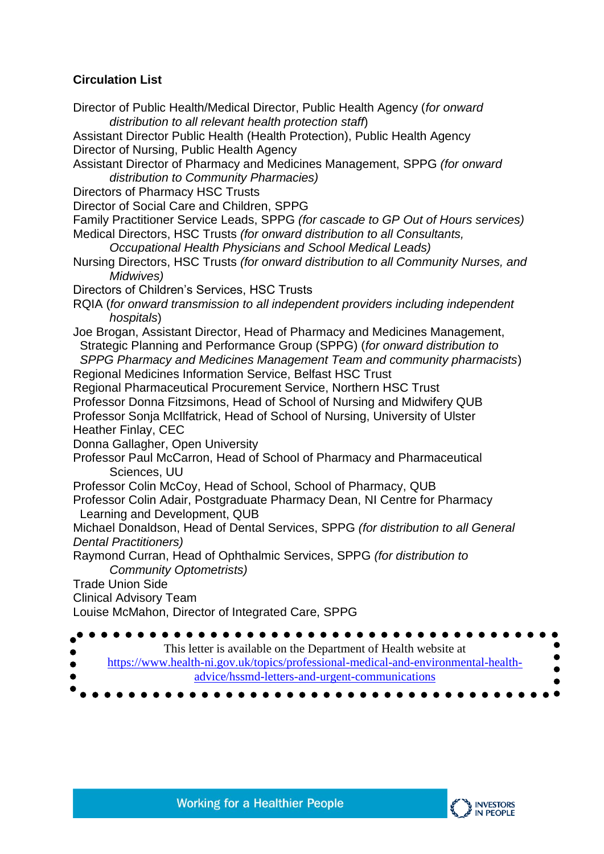## **Circulation List**

Director of Public Health/Medical Director, Public Health Agency (*for onward distribution to all relevant health protection staff*) Assistant Director Public Health (Health Protection), Public Health Agency Director of Nursing, Public Health Agency Assistant Director of Pharmacy and Medicines Management, SPPG *(for onward distribution to Community Pharmacies)*  Directors of Pharmacy HSC Trusts Director of Social Care and Children, SPPG Family Practitioner Service Leads, SPPG *(for cascade to GP Out of Hours services)*  Medical Directors, HSC Trusts *(for onward distribution to all Consultants, Occupational Health Physicians and School Medical Leads)*  Nursing Directors, HSC Trusts *(for onward distribution to all Community Nurses, and Midwives)*  Directors of Children's Services, HSC Trusts RQIA (*for onward transmission to all independent providers including independent hospitals*) Joe Brogan, Assistant Director, Head of Pharmacy and Medicines Management, Strategic Planning and Performance Group (SPPG) (*for onward distribution to SPPG Pharmacy and Medicines Management Team and community pharmacists*) Regional Medicines Information Service, Belfast HSC Trust Regional Pharmaceutical Procurement Service, Northern HSC Trust Professor Donna Fitzsimons, Head of School of Nursing and Midwifery QUB Professor Sonja McIlfatrick, Head of School of Nursing, University of Ulster Heather Finlay, CEC Donna Gallagher, Open University Professor Paul McCarron, Head of School of Pharmacy and Pharmaceutical Sciences, UU Professor Colin McCoy, Head of School, School of Pharmacy, QUB Professor Colin Adair, Postgraduate Pharmacy Dean, NI Centre for Pharmacy Learning and Development, QUB Michael Donaldson, Head of Dental Services, SPPG *(for distribution to all General Dental Practitioners)* Raymond Curran, Head of Ophthalmic Services, SPPG *(for distribution to Community Optometrists)*  Trade Union Side Clinical Advisory Team Louise McMahon, Director of Integrated Care, SPPG This letter is available on the Department of Health website at [https://www.health-ni.gov.uk/topics/professional-medical-and-environmental-health](https://www.health-ni.gov.uk/topics/professional-medical-and-environmental-health-advice/hssmd-letters-and-urgent-communications)[advice/hssmd-letters-and-urgent-communications](https://www.health-ni.gov.uk/topics/professional-medical-and-environmental-health-advice/hssmd-letters-and-urgent-communications)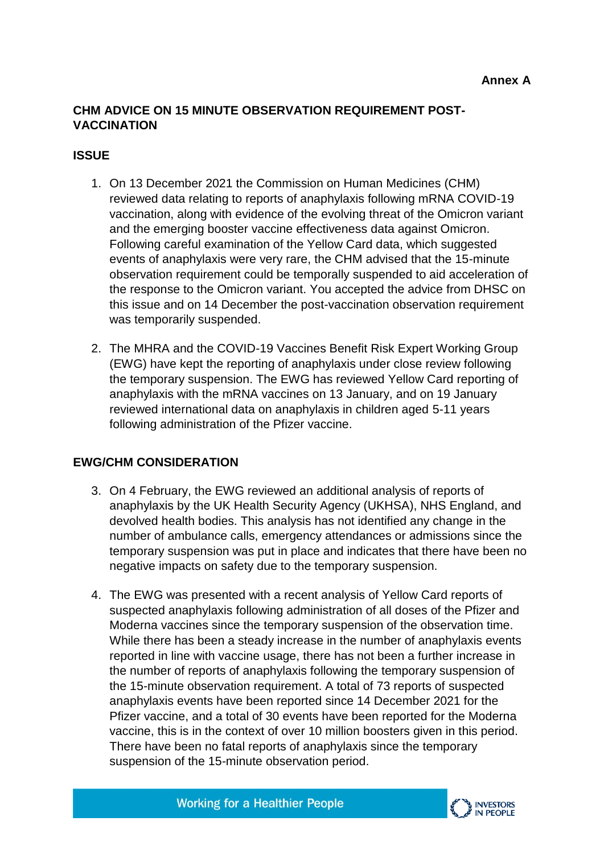### **CHM ADVICE ON 15 MINUTE OBSERVATION REQUIREMENT POST-VACCINATION**

#### **ISSUE**

- 1. On 13 December 2021 the Commission on Human Medicines (CHM) reviewed data relating to reports of anaphylaxis following mRNA COVID-19 vaccination, along with evidence of the evolving threat of the Omicron variant and the emerging booster vaccine effectiveness data against Omicron. Following careful examination of the Yellow Card data, which suggested events of anaphylaxis were very rare, the CHM advised that the 15-minute observation requirement could be temporally suspended to aid acceleration of the response to the Omicron variant. You accepted the advice from DHSC on this issue and on 14 December the post-vaccination observation requirement was temporarily suspended.
- 2. The MHRA and the COVID-19 Vaccines Benefit Risk Expert Working Group (EWG) have kept the reporting of anaphylaxis under close review following the temporary suspension. The EWG has reviewed Yellow Card reporting of anaphylaxis with the mRNA vaccines on 13 January, and on 19 January reviewed international data on anaphylaxis in children aged 5-11 years following administration of the Pfizer vaccine.

## **EWG/CHM CONSIDERATION**

- 3. On 4 February, the EWG reviewed an additional analysis of reports of anaphylaxis by the UK Health Security Agency (UKHSA), NHS England, and devolved health bodies. This analysis has not identified any change in the number of ambulance calls, emergency attendances or admissions since the temporary suspension was put in place and indicates that there have been no negative impacts on safety due to the temporary suspension.
- 4. The EWG was presented with a recent analysis of Yellow Card reports of suspected anaphylaxis following administration of all doses of the Pfizer and Moderna vaccines since the temporary suspension of the observation time. While there has been a steady increase in the number of anaphylaxis events reported in line with vaccine usage, there has not been a further increase in the number of reports of anaphylaxis following the temporary suspension of the 15-minute observation requirement. A total of 73 reports of suspected anaphylaxis events have been reported since 14 December 2021 for the Pfizer vaccine, and a total of 30 events have been reported for the Moderna vaccine, this is in the context of over 10 million boosters given in this period. There have been no fatal reports of anaphylaxis since the temporary suspension of the 15-minute observation period.



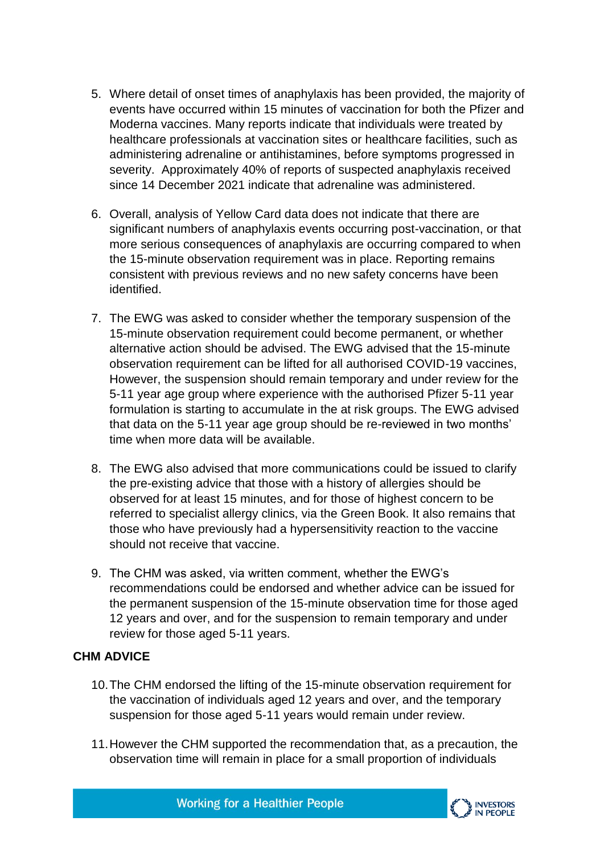- 5. Where detail of onset times of anaphylaxis has been provided, the majority of events have occurred within 15 minutes of vaccination for both the Pfizer and Moderna vaccines. Many reports indicate that individuals were treated by healthcare professionals at vaccination sites or healthcare facilities, such as administering adrenaline or antihistamines, before symptoms progressed in severity. Approximately 40% of reports of suspected anaphylaxis received since 14 December 2021 indicate that adrenaline was administered.
- 6. Overall, analysis of Yellow Card data does not indicate that there are significant numbers of anaphylaxis events occurring post-vaccination, or that more serious consequences of anaphylaxis are occurring compared to when the 15-minute observation requirement was in place. Reporting remains consistent with previous reviews and no new safety concerns have been identified.
- 7. The EWG was asked to consider whether the temporary suspension of the 15-minute observation requirement could become permanent, or whether alternative action should be advised. The EWG advised that the 15-minute observation requirement can be lifted for all authorised COVID-19 vaccines, However, the suspension should remain temporary and under review for the 5-11 year age group where experience with the authorised Pfizer 5-11 year formulation is starting to accumulate in the at risk groups. The EWG advised that data on the 5-11 year age group should be re-reviewed in two months' time when more data will be available.
- 8. The EWG also advised that more communications could be issued to clarify the pre-existing advice that those with a history of allergies should be observed for at least 15 minutes, and for those of highest concern to be referred to specialist allergy clinics, via the Green Book. It also remains that those who have previously had a hypersensitivity reaction to the vaccine should not receive that vaccine.
- 9. The CHM was asked, via written comment, whether the EWG's recommendations could be endorsed and whether advice can be issued for the permanent suspension of the 15-minute observation time for those aged 12 years and over, and for the suspension to remain temporary and under review for those aged 5-11 years.

## **CHM ADVICE**

- 10.The CHM endorsed the lifting of the 15-minute observation requirement for the vaccination of individuals aged 12 years and over, and the temporary suspension for those aged 5-11 years would remain under review.
- 11.However the CHM supported the recommendation that, as a precaution, the observation time will remain in place for a small proportion of individuals